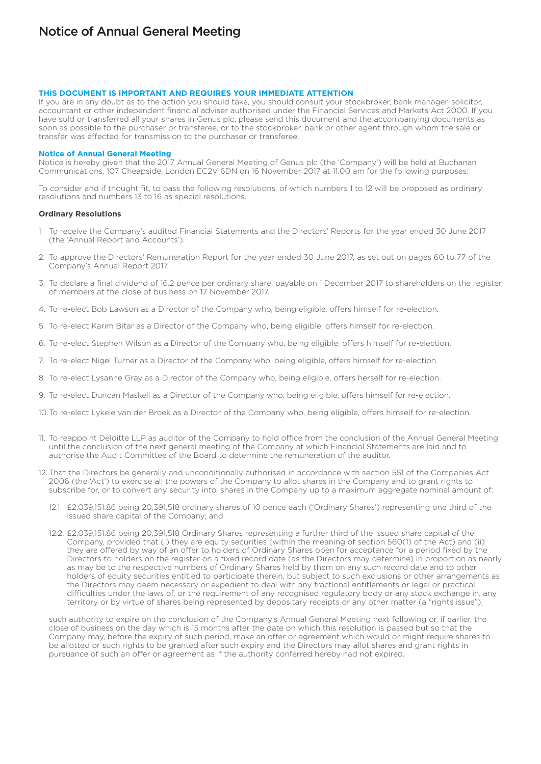## **THIS DOCUMENT IS IMPORTANT AND REQUIRES YOUR IMMEDIATE ATTENTION**

If you are in any doubt as to the action you should take, you should consult your stockbroker, bank manager, solicitor, accountant or other independent financial adviser authorised under the Financial Services and Markets Act 2000. If you have sold or transferred all your shares in Genus plc, please send this document and the accompanying documents as soon as possible to the purchaser or transferee, or to the stockbroker, bank or other agent through whom the sale or transfer was effected for transmission to the purchaser or transferee.

## **Notice of Annual General Meeting**

Notice is hereby given that the 2017 Annual General Meeting of Genus plc (the 'Company') will be held at Buchanan Communications, 107 Cheapside, London EC2V 6DN on 16 November 2017 at 11.00 am for the following purposes:

To consider and if thought fit, to pass the following resolutions, of which numbers 1 to 12 will be proposed as ordinary resolutions and numbers 13 to 16 as special resolutions.

## **Ordinary Resolutions**

- 1. To receive the Company's audited Financial Statements and the Directors' Reports for the year ended 30 June 2017 (the 'Annual Report and Accounts').
- 2. To approve the Directors' Remuneration Report for the year ended 30 June 2017, as set out on pages 60 to 77 of the Company's Annual Report 2017.
- 3. To declare a final dividend of 16.2 pence per ordinary share, payable on 1 December 2017 to shareholders on the register of members at the close of business on 17 November 2017.
- 4. To re-elect Bob Lawson as a Director of the Company who, being eligible, offers himself for re-election.
- 5. To re-elect Karim Bitar as a Director of the Company who, being eligible, offers himself for re-election.
- 6. To re-elect Stephen Wilson as a Director of the Company who, being eligible, offers himself for re-election.
- 7. To re-elect Nigel Turner as a Director of the Company who, being eligible, offers himself for re-election.
- 8. To re-elect Lysanne Gray as a Director of the Company who, being eligible, offers herself for re-election.
- 9. To re-elect Duncan Maskell as a Director of the Company who, being eligible, offers himself for re-election.
- 10.To re-elect Lykele van der Broek as a Director of the Company who, being eligible, offers himself for re-election.
- 11. To reappoint Deloitte LLP as auditor of the Company to hold office from the conclusion of the Annual General Meeting until the conclusion of the next general meeting of the Company at which Financial Statements are laid and to authorise the Audit Committee of the Board to determine the remuneration of the auditor.
- 12. That the Directors be generally and unconditionally authorised in accordance with section 551 of the Companies Act 2006 (the 'Act') to exercise all the powers of the Company to allot shares in the Company and to grant rights to subscribe for, or to convert any security into, shares in the Company up to a maximum aggregate nominal amount of:
	- 12.1. £2,039,151.86 being 20,391,518 ordinary shares of 10 pence each ('Ordinary Shares') representing one third of the issued share capital of the Company; and
	- 12.2. £2,039,151.86 being 20,391,518 Ordinary Shares representing a further third of the issued share capital of the Company, provided that (i) they are equity securities (within the meaning of section 560(1) of the Act) and (ii) they are offered by way of an offer to holders of Ordinary Shares open for acceptance for a period fixed by the Directors to holders on the register on a fixed record date (as the Directors may determine) in proportion as nearly as may be to the respective numbers of Ordinary Shares held by them on any such record date and to other holders of equity securities entitled to participate therein, but subject to such exclusions or other arrangements as the Directors may deem necessary or expedient to deal with any fractional entitlements or legal or practical difficulties under the laws of, or the requirement of any recognised regulatory body or any stock exchange in, any territory or by virtue of shares being represented by depositary receipts or any other matter (a "rights issue"),

such authority to expire on the conclusion of the Company's Annual General Meeting next following or, if earlier, the close of business on the day which is 15 months after the date on which this resolution is passed but so that the Company may, before the expiry of such period, make an offer or agreement which would or might require shares to be allotted or such rights to be granted after such expiry and the Directors may allot shares and grant rights in pursuance of such an offer or agreement as if the authority conferred hereby had not expired.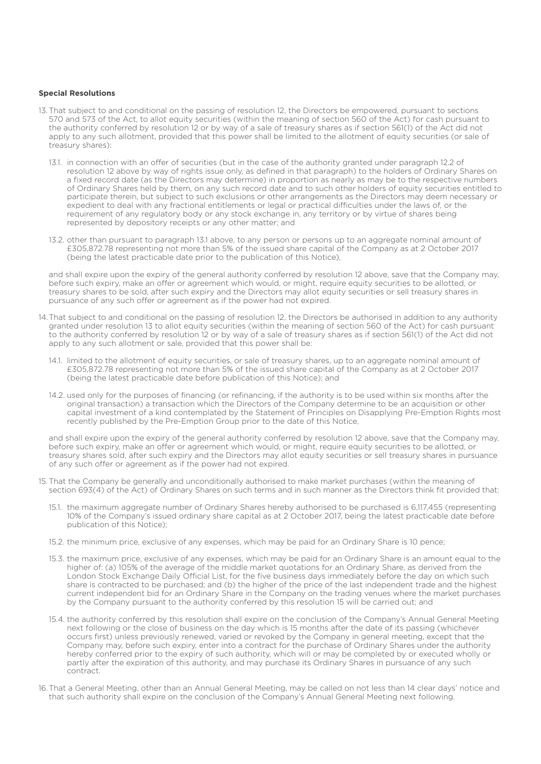## **Special Resolutions**

- 13.That subject to and conditional on the passing of resolution 12, the Directors be empowered, pursuant to sections 570 and 573 of the Act, to allot equity securities (within the meaning of section 560 of the Act) for cash pursuant to the authority conferred by resolution 12 or by way of a sale of treasury shares as if section 561(1) of the Act did not apply to any such allotment, provided that this power shall be limited to the allotment of equity securities (or sale of treasury shares):
	- 13.1. in connection with an offer of securities (but in the case of the authority granted under paragraph 12.2 of resolution 12 above by way of rights issue only, as defined in that paragraph) to the holders of Ordinary Shares on a fixed record date (as the Directors may determine) in proportion as nearly as may be to the respective numbers of Ordinary Shares held by them, on any such record date and to such other holders of equity securities entitled to participate therein, but subject to such exclusions or other arrangements as the Directors may deem necessary or expedient to deal with any fractional entitlements or legal or practical difficulties under the laws of, or the requirement of any regulatory body or any stock exchange in, any territory or by virtue of shares being represented by depository receipts or any other matter; and
	- 13.2. other than pursuant to paragraph 13.1 above, to any person or persons up to an aggregate nominal amount of £305,872.78 representing not more than 5% of the issued share capital of the Company as at 2 October 2017 (being the latest practicable date prior to the publication of this Notice),

and shall expire upon the expiry of the general authority conferred by resolution 12 above, save that the Company may, before such expiry, make an offer or agreement which would, or might, require equity securities to be allotted, or treasury shares to be sold, after such expiry and the Directors may allot equity securities or sell treasury shares in pursuance of any such offer or agreement as if the power had not expired.

- 14.That subject to and conditional on the passing of resolution 12, the Directors be authorised in addition to any authority granted under resolution 13 to allot equity securities (within the meaning of section 560 of the Act) for cash pursuant to the authority conferred by resolution 12 or by way of a sale of treasury shares as if section 561(1) of the Act did not apply to any such allotment or sale, provided that this power shall be:
	- 14.1. limited to the allotment of equity securities, or sale of treasury shares, up to an aggregate nominal amount of £305,872.78 representing not more than 5% of the issued share capital of the Company as at 2 October 2017 (being the latest practicable date before publication of this Notice); and
	- 14.2. used only for the purposes of financing (or refinancing, if the authority is to be used within six months after the original transaction) a transaction which the Directors of the Company determine to be an acquisition or other capital investment of a kind contemplated by the Statement of Principles on Disapplying Pre-Emption Rights most recently published by the Pre-Emption Group prior to the date of this Notice,

and shall expire upon the expiry of the general authority conferred by resolution 12 above, save that the Company may, before such expiry, make an offer or agreement which would, or might, require equity securities to be allotted, or treasury shares sold, after such expiry and the Directors may allot equity securities or sell treasury shares in pursuance of any such offer or agreement as if the power had not expired.

- 15. That the Company be generally and unconditionally authorised to make market purchases (within the meaning of section 693(4) of the Act) of Ordinary Shares on such terms and in such manner as the Directors think fit provided that:
	- 15.1. the maximum aggregate number of Ordinary Shares hereby authorised to be purchased is 6,117,455 (representing 10% of the Company's issued ordinary share capital as at 2 October 2017, being the latest practicable date before publication of this Notice);
	- 15.2. the minimum price, exclusive of any expenses, which may be paid for an Ordinary Share is 10 pence;
	- 15.3. the maximum price, exclusive of any expenses, which may be paid for an Ordinary Share is an amount equal to the higher of: (a) 105% of the average of the middle market quotations for an Ordinary Share, as derived from the London Stock Exchange Daily Official List, for the five business days immediately before the day on which such share is contracted to be purchased; and (b) the higher of the price of the last independent trade and the highest current independent bid for an Ordinary Share in the Company on the trading venues where the market purchases by the Company pursuant to the authority conferred by this resolution 15 will be carried out; and
	- 15.4. the authority conferred by this resolution shall expire on the conclusion of the Company's Annual General Meeting next following or the close of business on the day which is 15 months after the date of its passing (whichever occurs first) unless previously renewed, varied or revoked by the Company in general meeting, except that the Company may, before such expiry, enter into a contract for the purchase of Ordinary Shares under the authority hereby conferred prior to the expiry of such authority, which will or may be completed by or executed wholly or partly after the expiration of this authority, and may purchase its Ordinary Shares in pursuance of any such contract.
- 16.That a General Meeting, other than an Annual General Meeting, may be called on not less than 14 clear days' notice and that such authority shall expire on the conclusion of the Company's Annual General Meeting next following.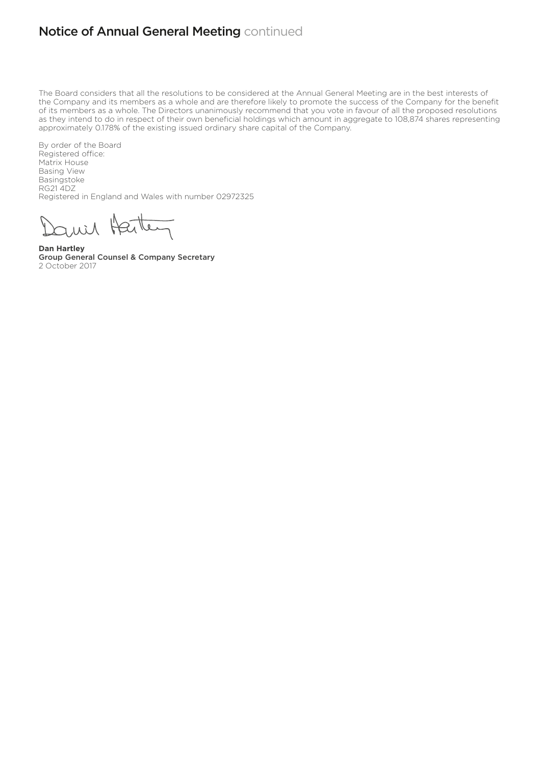## **Notice of Annual General Meeting continued**

The Board considers that all the resolutions to be considered at the Annual General Meeting are in the best interests of the Company and its members as a whole and are therefore likely to promote the success of the Company for the benefit of its members as a whole. The Directors unanimously recommend that you vote in favour of all the proposed resolutions as they intend to do in respect of their own beneficial holdings which amount in aggregate to 108,874 shares representing approximately 0.178% of the existing issued ordinary share capital of the Company.

By order of the Board Registered office: Matrix House Basing View Basingstoke RG21 4DZ Registered in England and Wales with number 02972325

ini faite

**Dan Hartley** Group General Counsel & Company Secretary 2 October 2017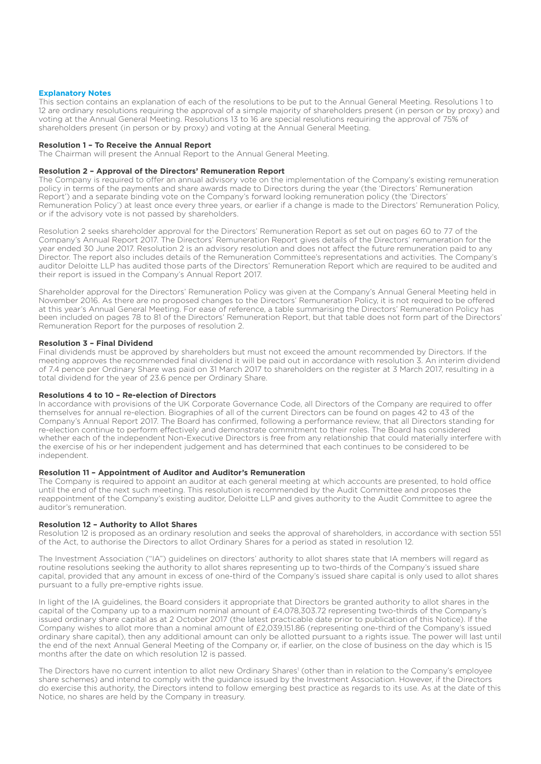## **Explanatory Notes**

This section contains an explanation of each of the resolutions to be put to the Annual General Meeting. Resolutions 1 to 12 are ordinary resolutions requiring the approval of a simple majority of shareholders present (in person or by proxy) and voting at the Annual General Meeting. Resolutions 13 to 16 are special resolutions requiring the approval of 75% of shareholders present (in person or by proxy) and voting at the Annual General Meeting.

## **Resolution 1 – To Receive the Annual Report**

The Chairman will present the Annual Report to the Annual General Meeting.

## **Resolution 2 – Approval of the Directors' Remuneration Report**

The Company is required to offer an annual advisory vote on the implementation of the Company's existing remuneration policy in terms of the payments and share awards made to Directors during the year (the 'Directors' Remuneration Report') and a separate binding vote on the Company's forward looking remuneration policy (the 'Directors' Remuneration Policy') at least once every three years, or earlier if a change is made to the Directors' Remuneration Policy, or if the advisory vote is not passed by shareholders.

Resolution 2 seeks shareholder approval for the Directors' Remuneration Report as set out on pages 60 to 77 of the Company's Annual Report 2017. The Directors' Remuneration Report gives details of the Directors' remuneration for the year ended 30 June 2017. Resolution 2 is an advisory resolution and does not affect the future remuneration paid to any Director. The report also includes details of the Remuneration Committee's representations and activities. The Company's auditor Deloitte LLP has audited those parts of the Directors' Remuneration Report which are required to be audited and their report is issued in the Company's Annual Report 2017.

Shareholder approval for the Directors' Remuneration Policy was given at the Company's Annual General Meeting held in November 2016. As there are no proposed changes to the Directors' Remuneration Policy, it is not required to be offered at this year's Annual General Meeting. For ease of reference, a table summarising the Directors' Remuneration Policy has been included on pages 78 to 81 of the Directors' Remuneration Report, but that table does not form part of the Directors' Remuneration Report for the purposes of resolution 2.

## **Resolution 3 – Final Dividend**

Final dividends must be approved by shareholders but must not exceed the amount recommended by Directors. If the meeting approves the recommended final dividend it will be paid out in accordance with resolution 3. An interim dividend of 7.4 pence per Ordinary Share was paid on 31 March 2017 to shareholders on the register at 3 March 2017, resulting in a total dividend for the year of 23.6 pence per Ordinary Share.

## **Resolutions 4 to 10 – Re-election of Directors**

In accordance with provisions of the UK Corporate Governance Code, all Directors of the Company are required to offer themselves for annual re-election. Biographies of all of the current Directors can be found on pages 42 to 43 of the Company's Annual Report 2017. The Board has confirmed, following a performance review, that all Directors standing for re-election continue to perform effectively and demonstrate commitment to their roles. The Board has considered whether each of the independent Non-Executive Directors is free from any relationship that could materially interfere with the exercise of his or her independent judgement and has determined that each continues to be considered to be independent.

## **Resolution 11 – Appointment of Auditor and Auditor's Remuneration**

The Company is required to appoint an auditor at each general meeting at which accounts are presented, to hold office until the end of the next such meeting. This resolution is recommended by the Audit Committee and proposes the reappointment of the Company's existing auditor, Deloitte LLP and gives authority to the Audit Committee to agree the auditor's remuneration.

## **Resolution 12 – Authority to Allot Shares**

Resolution 12 is proposed as an ordinary resolution and seeks the approval of shareholders, in accordance with section 551 of the Act, to authorise the Directors to allot Ordinary Shares for a period as stated in resolution 12.

The Investment Association ("IA") guidelines on directors' authority to allot shares state that IA members will regard as routine resolutions seeking the authority to allot shares representing up to two-thirds of the Company's issued share capital, provided that any amount in excess of one-third of the Company's issued share capital is only used to allot shares pursuant to a fully pre-emptive rights issue.

In light of the IA guidelines, the Board considers it appropriate that Directors be granted authority to allot shares in the capital of the Company up to a maximum nominal amount of £4,078,303.72 representing two-thirds of the Company's issued ordinary share capital as at 2 October 2017 (the latest practicable date prior to publication of this Notice). If the Company wishes to allot more than a nominal amount of £2,039,151.86 (representing one-third of the Company's issued ordinary share capital), then any additional amount can only be allotted pursuant to a rights issue. The power will last until the end of the next Annual General Meeting of the Company or, if earlier, on the close of business on the day which is 15 months after the date on which resolution 12 is passed.

The Directors have no current intention to allot new Ordinary Shares' (other than in relation to the Company's employee share schemes) and intend to comply with the guidance issued by the Investment Association. However, if the Directors do exercise this authority, the Directors intend to follow emerging best practice as regards to its use. As at the date of this Notice, no shares are held by the Company in treasury.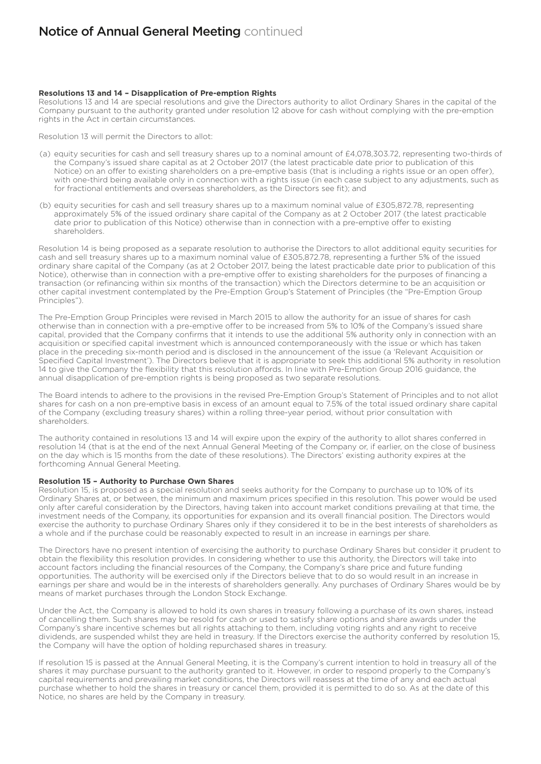# **Notice of Annual General Meeting continued**

## **Resolutions 13 and 14 – Disapplication of Pre-emption Rights**

Resolutions 13 and 14 are special resolutions and give the Directors authority to allot Ordinary Shares in the capital of the Company pursuant to the authority granted under resolution 12 above for cash without complying with the pre-emption rights in the Act in certain circumstances.

Resolution 13 will permit the Directors to allot:

- (a) equity securities for cash and sell treasury shares up to a nominal amount of £4,078,303.72, representing two-thirds of the Company's issued share capital as at 2 October 2017 (the latest practicable date prior to publication of this Notice) on an offer to existing shareholders on a pre-emptive basis (that is including a rights issue or an open offer), with one-third being available only in connection with a rights issue (in each case subject to any adjustments, such as for fractional entitlements and overseas shareholders, as the Directors see fit); and
- (b) equity securities for cash and sell treasury shares up to a maximum nominal value of £305,872.78, representing approximately 5% of the issued ordinary share capital of the Company as at 2 October 2017 (the latest practicable date prior to publication of this Notice) otherwise than in connection with a pre-emptive offer to existing shareholders.

Resolution 14 is being proposed as a separate resolution to authorise the Directors to allot additional equity securities for cash and sell treasury shares up to a maximum nominal value of £305,872.78, representing a further 5% of the issued ordinary share capital of the Company (as at 2 October 2017, being the latest practicable date prior to publication of this Notice), otherwise than in connection with a pre-emptive offer to existing shareholders for the purposes of financing a transaction (or refinancing within six months of the transaction) which the Directors determine to be an acquisition or other capital investment contemplated by the Pre-Emption Group's Statement of Principles (the "Pre-Emption Group Principles").

The Pre-Emption Group Principles were revised in March 2015 to allow the authority for an issue of shares for cash otherwise than in connection with a pre-emptive offer to be increased from 5% to 10% of the Company's issued share capital, provided that the Company confirms that it intends to use the additional 5% authority only in connection with an acquisition or specified capital investment which is announced contemporaneously with the issue or which has taken place in the preceding six-month period and is disclosed in the announcement of the issue (a 'Relevant Acquisition or Specified Capital Investment'). The Directors believe that it is appropriate to seek this additional 5% authority in resolution 14 to give the Company the flexibility that this resolution affords. In line with Pre-Emption Group 2016 guidance, the annual disapplication of pre-emption rights is being proposed as two separate resolutions.

The Board intends to adhere to the provisions in the revised Pre-Emption Group's Statement of Principles and to not allot shares for cash on a non pre-emptive basis in excess of an amount equal to 7.5% of the total issued ordinary share capital of the Company (excluding treasury shares) within a rolling three-year period, without prior consultation with shareholders.

The authority contained in resolutions 13 and 14 will expire upon the expiry of the authority to allot shares conferred in resolution 14 (that is at the end of the next Annual General Meeting of the Company or, if earlier, on the close of business on the day which is 15 months from the date of these resolutions). The Directors' existing authority expires at the forthcoming Annual General Meeting.

## **Resolution 15 – Authority to Purchase Own Shares**

Resolution 15, is proposed as a special resolution and seeks authority for the Company to purchase up to 10% of its Ordinary Shares at, or between, the minimum and maximum prices specified in this resolution. This power would be used only after careful consideration by the Directors, having taken into account market conditions prevailing at that time, the investment needs of the Company, its opportunities for expansion and its overall financial position. The Directors would exercise the authority to purchase Ordinary Shares only if they considered it to be in the best interests of shareholders as a whole and if the purchase could be reasonably expected to result in an increase in earnings per share.

The Directors have no present intention of exercising the authority to purchase Ordinary Shares but consider it prudent to obtain the flexibility this resolution provides. In considering whether to use this authority, the Directors will take into account factors including the financial resources of the Company, the Company's share price and future funding opportunities. The authority will be exercised only if the Directors believe that to do so would result in an increase in earnings per share and would be in the interests of shareholders generally. Any purchases of Ordinary Shares would be by means of market purchases through the London Stock Exchange.

Under the Act, the Company is allowed to hold its own shares in treasury following a purchase of its own shares, instead of cancelling them. Such shares may be resold for cash or used to satisfy share options and share awards under the Company's share incentive schemes but all rights attaching to them, including voting rights and any right to receive dividends, are suspended whilst they are held in treasury. If the Directors exercise the authority conferred by resolution 15, the Company will have the option of holding repurchased shares in treasury.

If resolution 15 is passed at the Annual General Meeting, it is the Company's current intention to hold in treasury all of the shares it may purchase pursuant to the authority granted to it. However, in order to respond properly to the Company's capital requirements and prevailing market conditions, the Directors will reassess at the time of any and each actual purchase whether to hold the shares in treasury or cancel them, provided it is permitted to do so. As at the date of this Notice, no shares are held by the Company in treasury.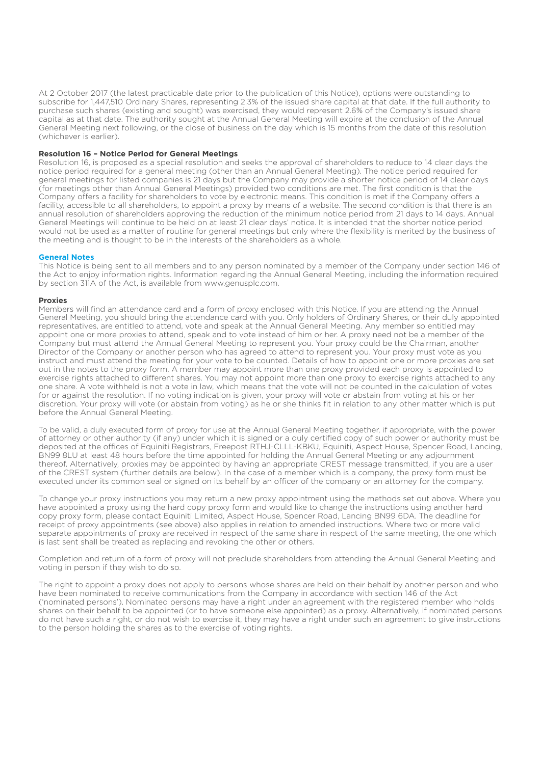At 2 October 2017 (the latest practicable date prior to the publication of this Notice), options were outstanding to subscribe for 1,447,510 Ordinary Shares, representing 2.3% of the issued share capital at that date. If the full authority to purchase such shares (existing and sought) was exercised, they would represent 2.6% of the Company's issued share capital as at that date. The authority sought at the Annual General Meeting will expire at the conclusion of the Annual General Meeting next following, or the close of business on the day which is 15 months from the date of this resolution (whichever is earlier).

## **Resolution 16 – Notice Period for General Meetings**

Resolution 16, is proposed as a special resolution and seeks the approval of shareholders to reduce to 14 clear days the notice period required for a general meeting (other than an Annual General Meeting). The notice period required for general meetings for listed companies is 21 days but the Company may provide a shorter notice period of 14 clear days (for meetings other than Annual General Meetings) provided two conditions are met. The first condition is that the Company offers a facility for shareholders to vote by electronic means. This condition is met if the Company offers a facility, accessible to all shareholders, to appoint a proxy by means of a website. The second condition is that there is an annual resolution of shareholders approving the reduction of the minimum notice period from 21 days to 14 days. Annual General Meetings will continue to be held on at least 21 clear days' notice. It is intended that the shorter notice period would not be used as a matter of routine for general meetings but only where the flexibility is merited by the business of the meeting and is thought to be in the interests of the shareholders as a whole.

## **General Notes**

This Notice is being sent to all members and to any person nominated by a member of the Company under section 146 of the Act to enjoy information rights. Information regarding the Annual General Meeting, including the information required by section 311A of the Act, is available from www.genusplc.com.

## **Proxies**

Members will find an attendance card and a form of proxy enclosed with this Notice. If you are attending the Annual General Meeting, you should bring the attendance card with you. Only holders of Ordinary Shares, or their duly appointed representatives, are entitled to attend, vote and speak at the Annual General Meeting. Any member so entitled may appoint one or more proxies to attend, speak and to vote instead of him or her. A proxy need not be a member of the Company but must attend the Annual General Meeting to represent you. Your proxy could be the Chairman, another Director of the Company or another person who has agreed to attend to represent you. Your proxy must vote as you instruct and must attend the meeting for your vote to be counted. Details of how to appoint one or more proxies are set out in the notes to the proxy form. A member may appoint more than one proxy provided each proxy is appointed to exercise rights attached to different shares. You may not appoint more than one proxy to exercise rights attached to any one share. A vote withheld is not a vote in law, which means that the vote will not be counted in the calculation of votes for or against the resolution. If no voting indication is given, your proxy will vote or abstain from voting at his or her discretion. Your proxy will vote (or abstain from voting) as he or she thinks fit in relation to any other matter which is put before the Annual General Meeting.

To be valid, a duly executed form of proxy for use at the Annual General Meeting together, if appropriate, with the power of attorney or other authority (if any) under which it is signed or a duly certified copy of such power or authority must be deposited at the offices of Equiniti Registrars, Freepost RTHJ-CLLL-KBKU, Equiniti, Aspect House, Spencer Road, Lancing, BN99 8LU at least 48 hours before the time appointed for holding the Annual General Meeting or any adjournment thereof. Alternatively, proxies may be appointed by having an appropriate CREST message transmitted, if you are a user of the CREST system (further details are below). In the case of a member which is a company, the proxy form must be executed under its common seal or signed on its behalf by an officer of the company or an attorney for the company.

To change your proxy instructions you may return a new proxy appointment using the methods set out above. Where you have appointed a proxy using the hard copy proxy form and would like to change the instructions using another hard copy proxy form, please contact Equiniti Limited, Aspect House, Spencer Road, Lancing BN99 6DA. The deadline for receipt of proxy appointments (see above) also applies in relation to amended instructions. Where two or more valid separate appointments of proxy are received in respect of the same share in respect of the same meeting, the one which is last sent shall be treated as replacing and revoking the other or others.

Completion and return of a form of proxy will not preclude shareholders from attending the Annual General Meeting and voting in person if they wish to do so.

The right to appoint a proxy does not apply to persons whose shares are held on their behalf by another person and who have been nominated to receive communications from the Company in accordance with section 146 of the Act ('nominated persons'). Nominated persons may have a right under an agreement with the registered member who holds shares on their behalf to be appointed (or to have someone else appointed) as a proxy. Alternatively, if nominated persons do not have such a right, or do not wish to exercise it, they may have a right under such an agreement to give instructions to the person holding the shares as to the exercise of voting rights.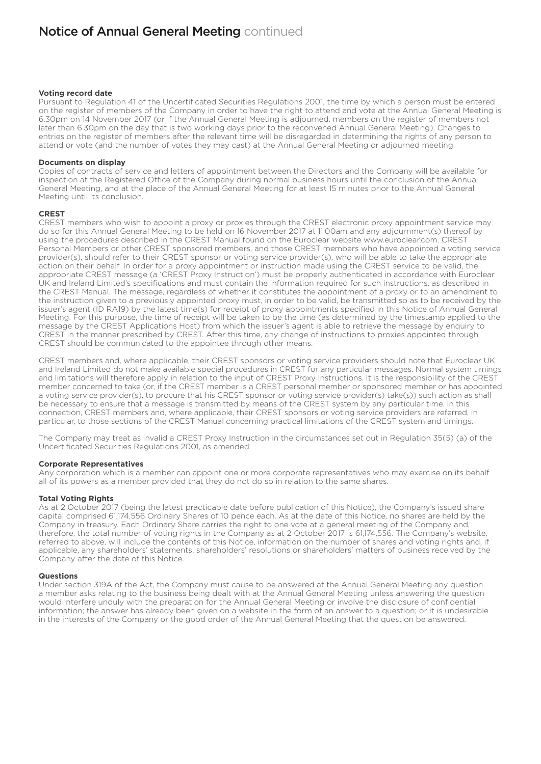## **Voting record date**

Pursuant to Regulation 41 of the Uncertificated Securities Regulations 2001, the time by which a person must be entered on the register of members of the Company in order to have the right to attend and vote at the Annual General Meeting is 6.30pm on 14 November 2017 (or if the Annual General Meeting is adjourned, members on the register of members not later than 6.30pm on the day that is two working days prior to the reconvened Annual General Meeting). Changes to entries on the register of members after the relevant time will be disregarded in determining the rights of any person to attend or vote (and the number of votes they may cast) at the Annual General Meeting or adjourned meeting.

#### **Documents on display**

Copies of contracts of service and letters of appointment between the Directors and the Company will be available for inspection at the Registered Office of the Company during normal business hours until the conclusion of the Annual General Meeting, and at the place of the Annual General Meeting for at least 15 minutes prior to the Annual General Meeting until its conclusion.

## **CREST**

CREST members who wish to appoint a proxy or proxies through the CREST electronic proxy appointment service may do so for this Annual General Meeting to be held on 16 November 2017 at 11.00am and any adjournment(s) thereof by using the procedures described in the CREST Manual found on the Euroclear website www.euroclear.com. CREST Personal Members or other CREST sponsored members, and those CREST members who have appointed a voting service provider(s), should refer to their CREST sponsor or voting service provider(s), who will be able to take the appropriate action on their behalf. In order for a proxy appointment or instruction made using the CREST service to be valid, the appropriate CREST message (a 'CREST Proxy Instruction') must be properly authenticated in accordance with Euroclear UK and Ireland Limited's specifications and must contain the information required for such instructions, as described in the CREST Manual. The message, regardless of whether it constitutes the appointment of a proxy or to an amendment to the instruction given to a previously appointed proxy must, in order to be valid, be transmitted so as to be received by the issuer's agent (ID RA19) by the latest time(s) for receipt of proxy appointments specified in this Notice of Annual General Meeting. For this purpose, the time of receipt will be taken to be the time (as determined by the timestamp applied to the message by the CREST Applications Host) from which the issuer's agent is able to retrieve the message by enquiry to CREST in the manner prescribed by CREST. After this time, any change of instructions to proxies appointed through CREST should be communicated to the appointee through other means.

CREST members and, where applicable, their CREST sponsors or voting service providers should note that Euroclear UK and Ireland Limited do not make available special procedures in CREST for any particular messages. Normal system timings and limitations will therefore apply in relation to the input of CREST Proxy Instructions. It is the responsibility of the CREST member concerned to take (or, if the CREST member is a CREST personal member or sponsored member or has appointed a voting service provider(s), to procure that his CREST sponsor or voting service provider(s) take(s)) such action as shall be necessary to ensure that a message is transmitted by means of the CREST system by any particular time. In this connection, CREST members and, where applicable, their CREST sponsors or voting service providers are referred, in particular, to those sections of the CREST Manual concerning practical limitations of the CREST system and timings.

The Company may treat as invalid a CREST Proxy Instruction in the circumstances set out in Regulation 35(5) (a) of the Uncertificated Securities Regulations 2001, as amended.

## **Corporate Representatives**

Any corporation which is a member can appoint one or more corporate representatives who may exercise on its behalf all of its powers as a member provided that they do not do so in relation to the same shares.

## **Total Voting Rights**

As at 2 October 2017 (being the latest practicable date before publication of this Notice), the Company's issued share capital comprised 61,174,556 Ordinary Shares of 10 pence each. As at the date of this Notice, no shares are held by the Company in treasury. Each Ordinary Share carries the right to one vote at a general meeting of the Company and, therefore, the total number of voting rights in the Company as at 2 October 2017 is 61,174,556. The Company's website, referred to above, will include the contents of this Notice, information on the number of shares and voting rights and, if applicable, any shareholders' statements, shareholders' resolutions or shareholders' matters of business received by the Company after the date of this Notice.

#### **Questions**

Under section 319A of the Act, the Company must cause to be answered at the Annual General Meeting any question a member asks relating to the business being dealt with at the Annual General Meeting unless answering the question would interfere unduly with the preparation for the Annual General Meeting or involve the disclosure of confidential information; the answer has already been given on a website in the form of an answer to a question; or it is undesirable in the interests of the Company or the good order of the Annual General Meeting that the question be answered.